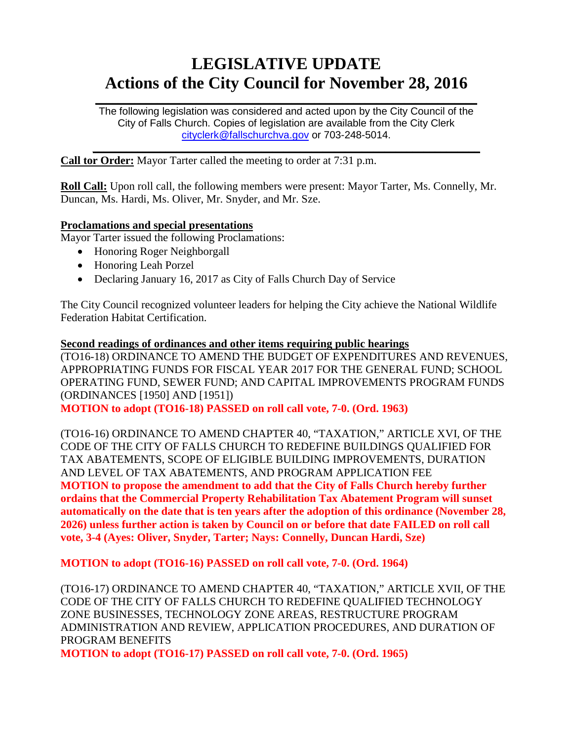# **LEGISLATIVE UPDATE Actions of the City Council for November 28, 2016**

The following legislation was considered and acted upon by the City Council of the City of Falls Church. Copies of legislation are available from the City Clerk [cityclerk@fallschurchva.gov](mailto:cityclerk@fallschurchva.gov) or 703-248-5014.

 $\frac{1}{2}$  ,  $\frac{1}{2}$  ,  $\frac{1}{2}$  ,  $\frac{1}{2}$  ,  $\frac{1}{2}$  ,  $\frac{1}{2}$  ,  $\frac{1}{2}$  ,  $\frac{1}{2}$  ,  $\frac{1}{2}$  ,  $\frac{1}{2}$  ,  $\frac{1}{2}$  ,  $\frac{1}{2}$  ,  $\frac{1}{2}$  ,  $\frac{1}{2}$  ,  $\frac{1}{2}$  ,  $\frac{1}{2}$  ,  $\frac{1}{2}$  ,  $\frac{1}{2}$  ,  $\frac{1$ 

 $\frac{1}{2}$  ,  $\frac{1}{2}$  ,  $\frac{1}{2}$  ,  $\frac{1}{2}$  ,  $\frac{1}{2}$  ,  $\frac{1}{2}$  ,  $\frac{1}{2}$  ,  $\frac{1}{2}$  ,  $\frac{1}{2}$  ,  $\frac{1}{2}$  ,  $\frac{1}{2}$  ,  $\frac{1}{2}$  ,  $\frac{1}{2}$  ,  $\frac{1}{2}$  ,  $\frac{1}{2}$  ,  $\frac{1}{2}$  ,  $\frac{1}{2}$  ,  $\frac{1}{2}$  ,  $\frac{1$ 

**Call tor Order:** Mayor Tarter called the meeting to order at 7:31 p.m.

**Roll Call:** Upon roll call, the following members were present: Mayor Tarter, Ms. Connelly, Mr. Duncan, Ms. Hardi, Ms. Oliver, Mr. Snyder, and Mr. Sze.

#### **Proclamations and special presentations**

Mayor Tarter issued the following Proclamations:

- Honoring Roger Neighborgall
- Honoring Leah Porzel
- Declaring January 16, 2017 as City of Falls Church Day of Service

The City Council recognized volunteer leaders for helping the City achieve the National Wildlife Federation Habitat Certification.

**Second readings of ordinances and other items requiring public hearings** (TO16-18) ORDINANCE TO AMEND THE BUDGET OF EXPENDITURES AND REVENUES, APPROPRIATING FUNDS FOR FISCAL YEAR 2017 FOR THE GENERAL FUND; SCHOOL OPERATING FUND, SEWER FUND; AND CAPITAL IMPROVEMENTS PROGRAM FUNDS (ORDINANCES [1950] AND [1951])

**MOTION to adopt (TO16-18) PASSED on roll call vote, 7-0. (Ord. 1963)**

(TO16-16) ORDINANCE TO AMEND CHAPTER 40, "TAXATION," ARTICLE XVI, OF THE CODE OF THE CITY OF FALLS CHURCH TO REDEFINE BUILDINGS QUALIFIED FOR TAX ABATEMENTS, SCOPE OF ELIGIBLE BUILDING IMPROVEMENTS, DURATION AND LEVEL OF TAX ABATEMENTS, AND PROGRAM APPLICATION FEE **MOTION to propose the amendment to add that the City of Falls Church hereby further ordains that the Commercial Property Rehabilitation Tax Abatement Program will sunset automatically on the date that is ten years after the adoption of this ordinance (November 28, 2026) unless further action is taken by Council on or before that date FAILED on roll call vote, 3-4 (Ayes: Oliver, Snyder, Tarter; Nays: Connelly, Duncan Hardi, Sze)**

**MOTION to adopt (TO16-16) PASSED on roll call vote, 7-0. (Ord. 1964)**

(TO16-17) ORDINANCE TO AMEND CHAPTER 40, "TAXATION," ARTICLE XVII, OF THE CODE OF THE CITY OF FALLS CHURCH TO REDEFINE QUALIFIED TECHNOLOGY ZONE BUSINESSES, TECHNOLOGY ZONE AREAS, RESTRUCTURE PROGRAM ADMINISTRATION AND REVIEW, APPLICATION PROCEDURES, AND DURATION OF PROGRAM BENEFITS

**MOTION to adopt (TO16-17) PASSED on roll call vote, 7-0. (Ord. 1965)**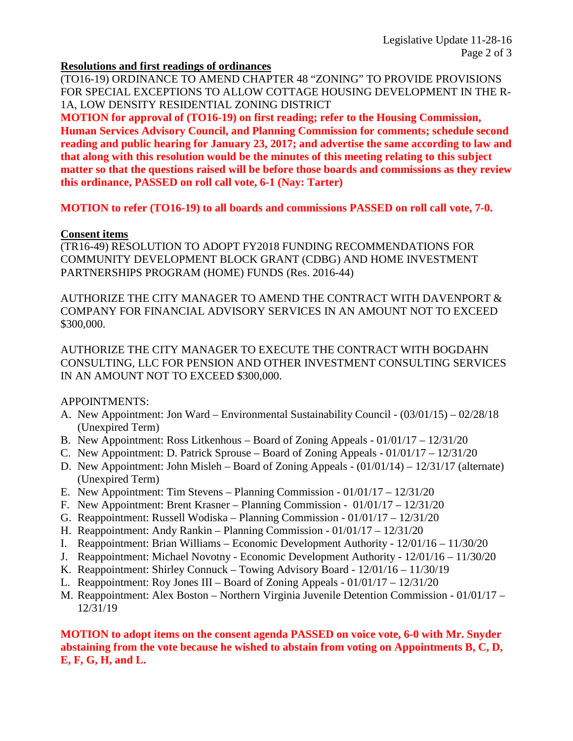#### **Resolutions and first readings of ordinances**

(TO16-19) ORDINANCE TO AMEND CHAPTER 48 "ZONING" TO PROVIDE PROVISIONS FOR SPECIAL EXCEPTIONS TO ALLOW COTTAGE HOUSING DEVELOPMENT IN THE R-1A, LOW DENSITY RESIDENTIAL ZONING DISTRICT

**MOTION for approval of (TO16-19) on first reading; refer to the Housing Commission, Human Services Advisory Council, and Planning Commission for comments; schedule second reading and public hearing for January 23, 2017; and advertise the same according to law and that along with this resolution would be the minutes of this meeting relating to this subject matter so that the questions raised will be before those boards and commissions as they review this ordinance, PASSED on roll call vote, 6-1 (Nay: Tarter)**

**MOTION to refer (TO16-19) to all boards and commissions PASSED on roll call vote, 7-0.**

#### **Consent items**

(TR16-49) RESOLUTION TO ADOPT FY2018 FUNDING RECOMMENDATIONS FOR COMMUNITY DEVELOPMENT BLOCK GRANT (CDBG) AND HOME INVESTMENT PARTNERSHIPS PROGRAM (HOME) FUNDS (Res. 2016-44)

AUTHORIZE THE CITY MANAGER TO AMEND THE CONTRACT WITH DAVENPORT & COMPANY FOR FINANCIAL ADVISORY SERVICES IN AN AMOUNT NOT TO EXCEED \$300,000.

AUTHORIZE THE CITY MANAGER TO EXECUTE THE CONTRACT WITH BOGDAHN CONSULTING, LLC FOR PENSION AND OTHER INVESTMENT CONSULTING SERVICES IN AN AMOUNT NOT TO EXCEED \$300,000.

## APPOINTMENTS:

- A. New Appointment: Jon Ward Environmental Sustainability Council (03/01/15) 02/28/18 (Unexpired Term)
- B. New Appointment: Ross Litkenhous Board of Zoning Appeals 01/01/17 12/31/20
- C. New Appointment: D. Patrick Sprouse Board of Zoning Appeals 01/01/17 12/31/20
- D. New Appointment: John Misleh Board of Zoning Appeals (01/01/14) 12/31/17 (alternate) (Unexpired Term)
- E. New Appointment: Tim Stevens Planning Commission 01/01/17 12/31/20
- F. New Appointment: Brent Krasner Planning Commission 01/01/17 12/31/20
- G. Reappointment: Russell Wodiska Planning Commission 01/01/17 12/31/20
- H. Reappointment: Andy Rankin Planning Commission 01/01/17 12/31/20
- I. Reappointment: Brian Williams Economic Development Authority 12/01/16 11/30/20
- J. Reappointment: Michael Novotny Economic Development Authority 12/01/16 11/30/20
- K. Reappointment: Shirley Connuck Towing Advisory Board 12/01/16 11/30/19
- L. Reappointment: Roy Jones III Board of Zoning Appeals 01/01/17 12/31/20
- M. Reappointment: Alex Boston Northern Virginia Juvenile Detention Commission 01/01/17 12/31/19

## **MOTION to adopt items on the consent agenda PASSED on voice vote, 6-0 with Mr. Snyder abstaining from the vote because he wished to abstain from voting on Appointments B, C, D, E, F, G, H, and L.**